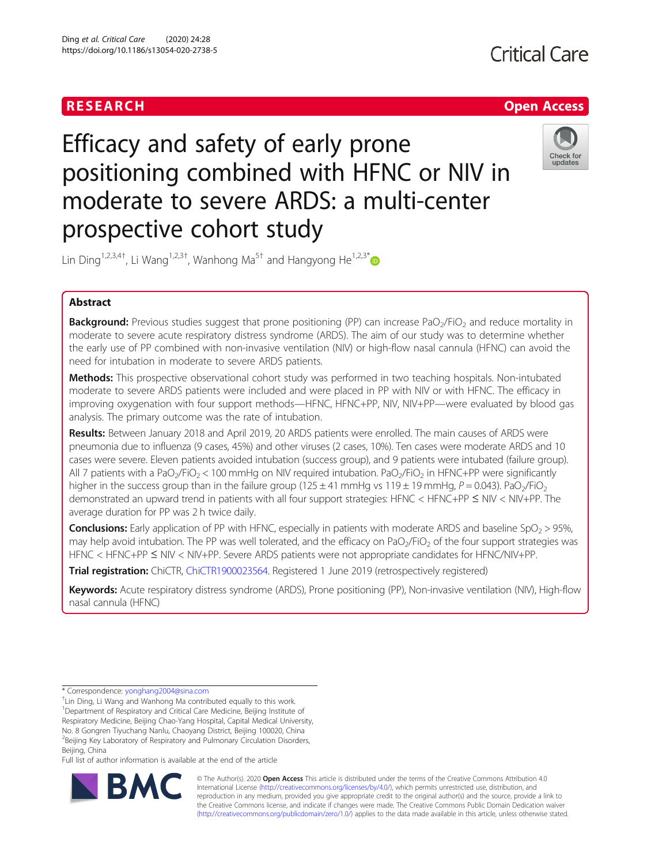

# Efficacy and safety of early prone positioning combined with HFNC or NIV in moderate to severe ARDS: a multi-center prospective cohort study



Lin Ding<sup>1,2,3,4†</sup>, Li Wang<sup>1,2,3†</sup>, Wanhong Ma<sup>5†</sup> and Hangyong He<sup>1,2,3\*</sup>

# Abstract

**Background:** Previous studies suggest that prone positioning (PP) can increase PaO<sub>2</sub>/FiO<sub>2</sub> and reduce mortality in moderate to severe acute respiratory distress syndrome (ARDS). The aim of our study was to determine whether the early use of PP combined with non-invasive ventilation (NIV) or high-flow nasal cannula (HFNC) can avoid the need for intubation in moderate to severe ARDS patients.

Methods: This prospective observational cohort study was performed in two teaching hospitals. Non-intubated moderate to severe ARDS patients were included and were placed in PP with NIV or with HFNC. The efficacy in improving oxygenation with four support methods—HFNC, HFNC+PP, NIV, NIV+PP—were evaluated by blood gas analysis. The primary outcome was the rate of intubation.

Results: Between January 2018 and April 2019, 20 ARDS patients were enrolled. The main causes of ARDS were pneumonia due to influenza (9 cases, 45%) and other viruses (2 cases, 10%). Ten cases were moderate ARDS and 10 cases were severe. Eleven patients avoided intubation (success group), and 9 patients were intubated (failure group). All 7 patients with a PaO<sub>2</sub>/FiO<sub>2</sub> < 100 mmHg on NIV required intubation. PaO<sub>2</sub>/FiO<sub>2</sub> in HFNC+PP were significantly higher in the success group than in the failure group (125  $\pm$  41 mmHg vs 119  $\pm$  19 mmHg, P = 0.043). PaO<sub>2</sub>/FiO<sub>2</sub> demonstrated an upward trend in patients with all four support strategies: HFNC < HFNC+PP ≤ NIV < NIV+PP. The average duration for PP was 2 h twice daily.

**Conclusions:** Early application of PP with HFNC, especially in patients with moderate ARDS and baseline  $SpO<sub>2</sub> > 95%$ , may help avoid intubation. The PP was well tolerated, and the efficacy on PaO<sub>2</sub>/FiO<sub>2</sub> of the four support strategies was HFNC < HFNC+PP ≤ NIV < NIV+PP. Severe ARDS patients were not appropriate candidates for HFNC/NIV+PP.

Trial registration: ChiCTR, [ChiCTR1900023564](http://www.chictr.org.cn/showproj.aspx?proj=39317). Registered 1 June 2019 (retrospectively registered)

Keywords: Acute respiratory distress syndrome (ARDS), Prone positioning (PP), Non-invasive ventilation (NIV), High-flow nasal cannula (HFNC)

Full list of author information is available at the end of the article



© The Author(s). 2020 **Open Access** This article is distributed under the terms of the Creative Commons Attribution 4.0 International License [\(http://creativecommons.org/licenses/by/4.0/](http://creativecommons.org/licenses/by/4.0/)), which permits unrestricted use, distribution, and reproduction in any medium, provided you give appropriate credit to the original author(s) and the source, provide a link to the Creative Commons license, and indicate if changes were made. The Creative Commons Public Domain Dedication waiver [\(http://creativecommons.org/publicdomain/zero/1.0/](http://creativecommons.org/publicdomain/zero/1.0/)) applies to the data made available in this article, unless otherwise stated.

<sup>\*</sup> Correspondence: [yonghang2004@sina.com](mailto:yonghang2004@sina.com)

<sup>†</sup> Lin Ding, Li Wang and Wanhong Ma contributed equally to this work. <sup>1</sup>Department of Respiratory and Critical Care Medicine, Beijing Institute of Respiratory Medicine, Beijing Chao-Yang Hospital, Capital Medical University, No. 8 Gongren Tiyuchang Nanlu, Chaoyang District, Beijing 100020, China <sup>2</sup> Beijing Key Laboratory of Respiratory and Pulmonary Circulation Disorders, Beijing, China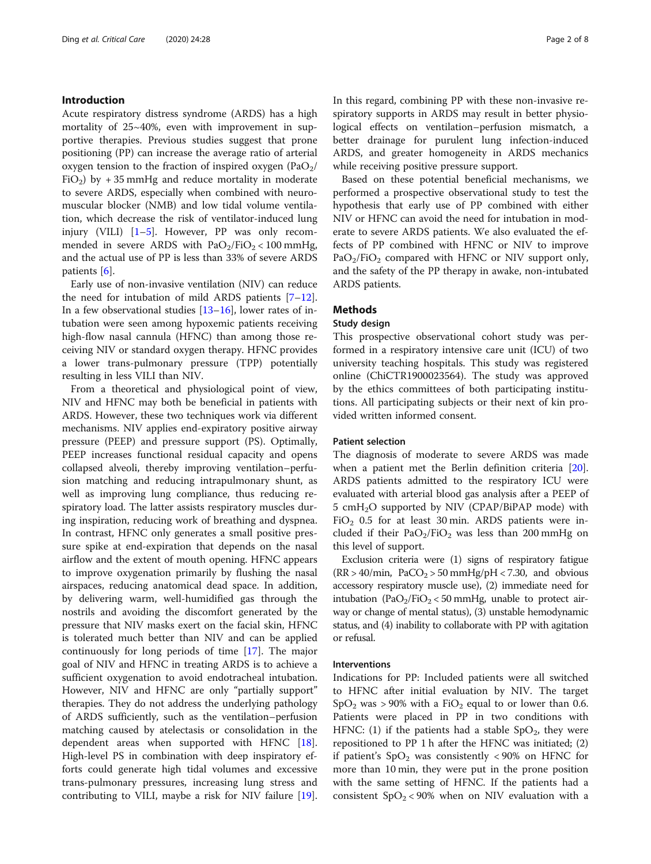# Introduction

Acute respiratory distress syndrome (ARDS) has a high mortality of 25~40%, even with improvement in supportive therapies. Previous studies suggest that prone positioning (PP) can increase the average ratio of arterial oxygen tension to the fraction of inspired oxygen  $(\text{PaO}_2)$ FiO<sub>2</sub>) by  $+35$  mmHg and reduce mortality in moderate to severe ARDS, especially when combined with neuromuscular blocker (NMB) and low tidal volume ventilation, which decrease the risk of ventilator-induced lung injury (VILI) [[1](#page-7-0)–[5\]](#page-7-0). However, PP was only recommended in severe ARDS with  $PaO<sub>2</sub>/FiO<sub>2</sub> < 100$  mmHg, and the actual use of PP is less than 33% of severe ARDS patients [[6\]](#page-7-0).

Early use of non-invasive ventilation (NIV) can reduce the need for intubation of mild ARDS patients [[7](#page-7-0)–[12](#page-7-0)]. In a few observational studies  $[13-16]$  $[13-16]$  $[13-16]$ , lower rates of intubation were seen among hypoxemic patients receiving high-flow nasal cannula (HFNC) than among those receiving NIV or standard oxygen therapy. HFNC provides a lower trans-pulmonary pressure (TPP) potentially resulting in less VILI than NIV.

From a theoretical and physiological point of view, NIV and HFNC may both be beneficial in patients with ARDS. However, these two techniques work via different mechanisms. NIV applies end-expiratory positive airway pressure (PEEP) and pressure support (PS). Optimally, PEEP increases functional residual capacity and opens collapsed alveoli, thereby improving ventilation–perfusion matching and reducing intrapulmonary shunt, as well as improving lung compliance, thus reducing respiratory load. The latter assists respiratory muscles during inspiration, reducing work of breathing and dyspnea. In contrast, HFNC only generates a small positive pressure spike at end-expiration that depends on the nasal airflow and the extent of mouth opening. HFNC appears to improve oxygenation primarily by flushing the nasal airspaces, reducing anatomical dead space. In addition, by delivering warm, well-humidified gas through the nostrils and avoiding the discomfort generated by the pressure that NIV masks exert on the facial skin, HFNC is tolerated much better than NIV and can be applied continuously for long periods of time [\[17\]](#page-7-0). The major goal of NIV and HFNC in treating ARDS is to achieve a sufficient oxygenation to avoid endotracheal intubation. However, NIV and HFNC are only "partially support" therapies. They do not address the underlying pathology of ARDS sufficiently, such as the ventilation–perfusion matching caused by atelectasis or consolidation in the dependent areas when supported with HFNC [\[18](#page-7-0)]. High-level PS in combination with deep inspiratory efforts could generate high tidal volumes and excessive trans-pulmonary pressures, increasing lung stress and contributing to VILI, maybe a risk for NIV failure [\[19](#page-7-0)]. In this regard, combining PP with these non-invasive respiratory supports in ARDS may result in better physiological effects on ventilation–perfusion mismatch, a better drainage for purulent lung infection-induced ARDS, and greater homogeneity in ARDS mechanics while receiving positive pressure support.

Based on these potential beneficial mechanisms, we performed a prospective observational study to test the hypothesis that early use of PP combined with either NIV or HFNC can avoid the need for intubation in moderate to severe ARDS patients. We also evaluated the effects of PP combined with HFNC or NIV to improve  $PaO<sub>2</sub>/FiO<sub>2</sub>$  compared with HFNC or NIV support only, and the safety of the PP therapy in awake, non-intubated ARDS patients.

# Methods

# Study design

This prospective observational cohort study was performed in a respiratory intensive care unit (ICU) of two university teaching hospitals. This study was registered online (ChiCTR1900023564). The study was approved by the ethics committees of both participating institutions. All participating subjects or their next of kin provided written informed consent.

# Patient selection

The diagnosis of moderate to severe ARDS was made when a patient met the Berlin definition criteria [\[20](#page-7-0)]. ARDS patients admitted to the respiratory ICU were evaluated with arterial blood gas analysis after a PEEP of 5 cmH2O supported by NIV (CPAP/BiPAP mode) with  $FiO<sub>2</sub>$  0.5 for at least 30 min. ARDS patients were included if their  $PaO<sub>2</sub>/FiO<sub>2</sub>$  was less than 200 mmHg on this level of support.

Exclusion criteria were (1) signs of respiratory fatigue  $(RR > 40/min, PaCO<sub>2</sub> > 50 mmHg/<sub>p</sub>H < 7.30, and obvious$ accessory respiratory muscle use), (2) immediate need for intubation (PaO<sub>2</sub>/FiO<sub>2</sub> < 50 mmHg, unable to protect airway or change of mental status), (3) unstable hemodynamic status, and (4) inability to collaborate with PP with agitation or refusal.

# **Interventions**

Indications for PP: Included patients were all switched to HFNC after initial evaluation by NIV. The target  $SpO<sub>2</sub>$  was > 90% with a FiO<sub>2</sub> equal to or lower than 0.6. Patients were placed in PP in two conditions with HFNC: (1) if the patients had a stable  $SpO<sub>2</sub>$ , they were repositioned to PP 1 h after the HFNC was initiated; (2) if patient's  $SpO<sub>2</sub>$  was consistently <90% on HFNC for more than 10 min, they were put in the prone position with the same setting of HFNC. If the patients had a consistent  $SpO<sub>2</sub> < 90%$  when on NIV evaluation with a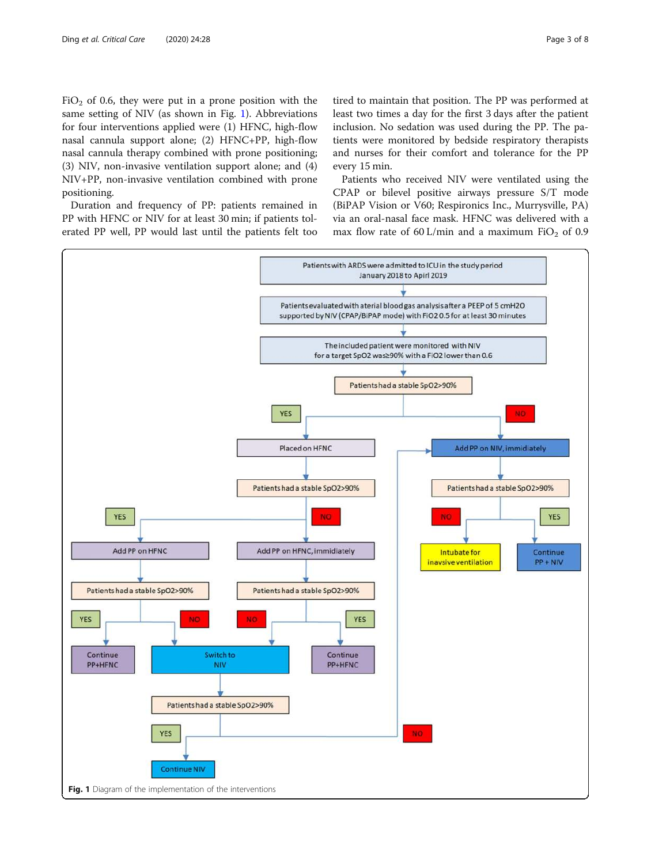$FiO<sub>2</sub>$  of 0.6, they were put in a prone position with the same setting of NIV (as shown in Fig. 1). Abbreviations for four interventions applied were (1) HFNC, high-flow nasal cannula support alone; (2) HFNC+PP, high-flow nasal cannula therapy combined with prone positioning; (3) NIV, non-invasive ventilation support alone; and (4) NIV+PP, non-invasive ventilation combined with prone positioning.

Duration and frequency of PP: patients remained in PP with HFNC or NIV for at least 30 min; if patients tolerated PP well, PP would last until the patients felt too

tired to maintain that position. The PP was performed at least two times a day for the first 3 days after the patient inclusion. No sedation was used during the PP. The patients were monitored by bedside respiratory therapists and nurses for their comfort and tolerance for the PP every 15 min.

Patients who received NIV were ventilated using the CPAP or bilevel positive airways pressure S/T mode (BiPAP Vision or V60; Respironics Inc., Murrysville, PA) via an oral-nasal face mask. HFNC was delivered with a max flow rate of 60 L/min and a maximum  $FiO<sub>2</sub>$  of 0.9

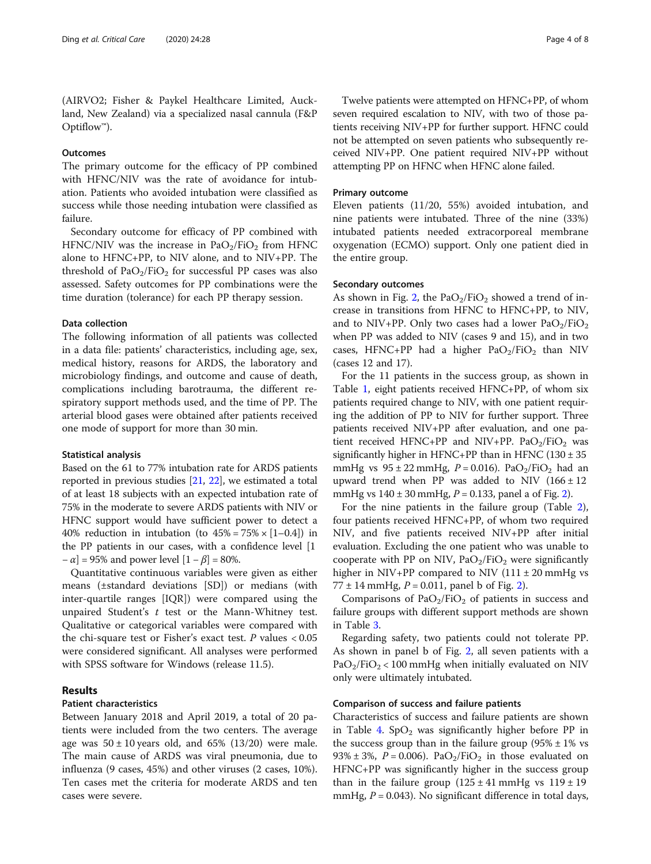(AIRVO2; Fisher & Paykel Healthcare Limited, Auckland, New Zealand) via a specialized nasal cannula (F&P Optiflow™).

# **Outcomes**

The primary outcome for the efficacy of PP combined with HFNC/NIV was the rate of avoidance for intubation. Patients who avoided intubation were classified as success while those needing intubation were classified as failure.

Secondary outcome for efficacy of PP combined with HFNC/NIV was the increase in  $PaO<sub>2</sub>/FiO<sub>2</sub>$  from HFNC alone to HFNC+PP, to NIV alone, and to NIV+PP. The threshold of  $PaO<sub>2</sub>/FiO<sub>2</sub>$  for successful PP cases was also assessed. Safety outcomes for PP combinations were the time duration (tolerance) for each PP therapy session.

# Data collection

The following information of all patients was collected in a data file: patients' characteristics, including age, sex, medical history, reasons for ARDS, the laboratory and microbiology findings, and outcome and cause of death, complications including barotrauma, the different respiratory support methods used, and the time of PP. The arterial blood gases were obtained after patients received one mode of support for more than 30 min.

# Statistical analysis

Based on the 61 to 77% intubation rate for ARDS patients reported in previous studies [\[21,](#page-7-0) [22\]](#page-7-0), we estimated a total of at least 18 subjects with an expected intubation rate of 75% in the moderate to severe ARDS patients with NIV or HFNC support would have sufficient power to detect a 40% reduction in intubation (to  $45\% = 75\% \times [1-0.4]$ ) in the PP patients in our cases, with a confidence level [1  $-\alpha$ ] = 95% and power level  $[1 - \beta]$  = 80%.

Quantitative continuous variables were given as either means (±standard deviations [SD]) or medians (with inter-quartile ranges [IQR]) were compared using the unpaired Student's  $t$  test or the Mann-Whitney test. Qualitative or categorical variables were compared with the chi-square test or Fisher's exact test. P values  $< 0.05$ were considered significant. All analyses were performed with SPSS software for Windows (release 11.5).

# Results

# Patient characteristics

Between January 2018 and April 2019, a total of 20 patients were included from the two centers. The average age was  $50 \pm 10$  years old, and  $65\%$  (13/20) were male. The main cause of ARDS was viral pneumonia, due to influenza (9 cases, 45%) and other viruses (2 cases, 10%). Ten cases met the criteria for moderate ARDS and ten cases were severe.

Twelve patients were attempted on HFNC+PP, of whom seven required escalation to NIV, with two of those patients receiving NIV+PP for further support. HFNC could not be attempted on seven patients who subsequently received NIV+PP. One patient required NIV+PP without attempting PP on HFNC when HFNC alone failed.

# Primary outcome

Eleven patients (11/20, 55%) avoided intubation, and nine patients were intubated. Three of the nine (33%) intubated patients needed extracorporeal membrane oxygenation (ECMO) support. Only one patient died in the entire group.

# Secondary outcomes

As shown in Fig. [2,](#page-4-0) the  $PaO<sub>2</sub>/FiO<sub>2</sub>$  showed a trend of increase in transitions from HFNC to HFNC+PP, to NIV, and to NIV+PP. Only two cases had a lower  $PaO<sub>2</sub>/FiO<sub>2</sub>$ when PP was added to NIV (cases 9 and 15), and in two cases, HFNC+PP had a higher  $PaO<sub>2</sub>/FiO<sub>2</sub>$  than NIV (cases 12 and 17).

For the 11 patients in the success group, as shown in Table [1,](#page-4-0) eight patients received HFNC+PP, of whom six patients required change to NIV, with one patient requiring the addition of PP to NIV for further support. Three patients received NIV+PP after evaluation, and one patient received HFNC+PP and NIV+PP.  $PaO<sub>2</sub>/FiO<sub>2</sub>$  was significantly higher in HFNC+PP than in HFNC  $(130 \pm 35)$ mmHg vs  $95 \pm 22$  mmHg,  $P = 0.016$ ). PaO<sub>2</sub>/FiO<sub>2</sub> had an upward trend when PP was added to NIV  $(166 \pm 12)$ mmHg vs  $140 \pm 30$  mmHg,  $P = 0.133$ , panel a of Fig. [2](#page-4-0)).

For the nine patients in the failure group (Table [2](#page-5-0)), four patients received HFNC+PP, of whom two required NIV, and five patients received NIV+PP after initial evaluation. Excluding the one patient who was unable to cooperate with PP on NIV,  $PaO<sub>2</sub>/FiO<sub>2</sub>$  were significantly higher in NIV+PP compared to NIV  $(111 \pm 20 \text{ mmHg vs }$ 77  $\pm$  14 mmHg,  $P = 0.011$ , panel b of Fig. [2\)](#page-4-0).

Comparisons of  $PaO<sub>2</sub>/FiO<sub>2</sub>$  of patients in success and failure groups with different support methods are shown in Table [3.](#page-5-0)

Regarding safety, two patients could not tolerate PP. As shown in panel b of Fig. [2](#page-4-0), all seven patients with a  $PaO<sub>2</sub>/FiO<sub>2</sub> < 100$  mmHg when initially evaluated on NIV only were ultimately intubated.

# Comparison of success and failure patients

Characteristics of success and failure patients are shown in Table [4](#page-5-0).  $SpO<sub>2</sub>$  was significantly higher before PP in the success group than in the failure group  $(95\% \pm 1\% \text{ vs }$ 93%  $\pm$  3%,  $P = 0.006$ ). PaO<sub>2</sub>/FiO<sub>2</sub> in those evaluated on HFNC+PP was significantly higher in the success group than in the failure group  $(125 \pm 41 \text{ mm})$  vs  $119 \pm 19$ mmHg,  $P = 0.043$ ). No significant difference in total days,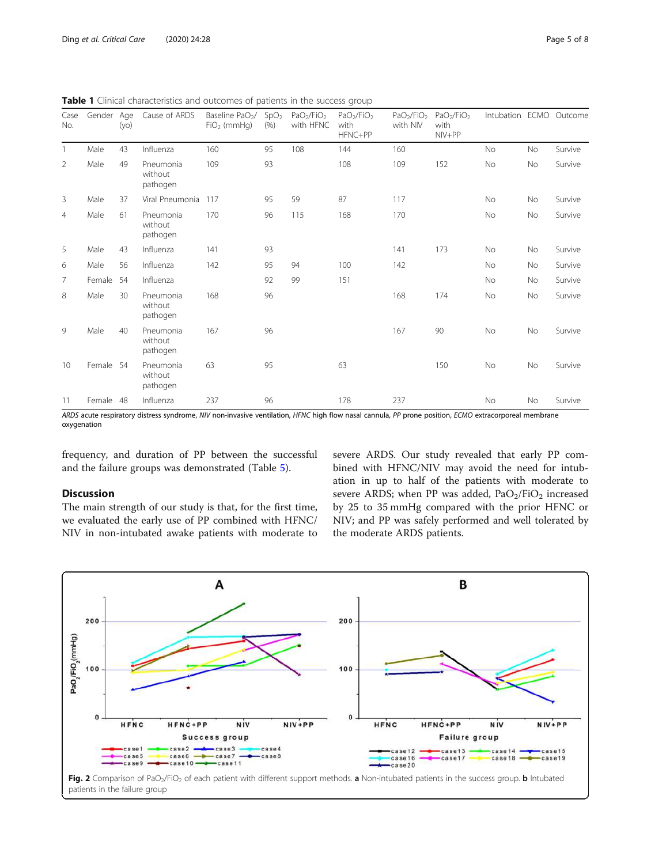| Case<br>No.    | Gender Age | (yo) | Cause of ARDS                    | Baseline PaO <sub>2</sub> /<br>$FiO2$ (mmHg) | SpO <sub>2</sub><br>(% ) | PaO <sub>2</sub> /FiO <sub>2</sub><br>with HFNC | PaO <sub>2</sub> /FiO <sub>2</sub><br>with<br>HFNC+PP | PaO <sub>2</sub> /FiO <sub>2</sub><br>with NIV | PaO <sub>2</sub> /FiO <sub>2</sub><br>with<br>NIV+PP | Intubation ECMO Outcome |    |         |
|----------------|------------|------|----------------------------------|----------------------------------------------|--------------------------|-------------------------------------------------|-------------------------------------------------------|------------------------------------------------|------------------------------------------------------|-------------------------|----|---------|
|                | Male       | 43   | Influenza                        | 160                                          | 95                       | 108                                             | 144                                                   | 160                                            |                                                      | <b>No</b>               | No | Survive |
| $\overline{2}$ | Male       | 49   | Pneumonia<br>without<br>pathogen | 109                                          | 93                       |                                                 | 108                                                   | 109                                            | 152                                                  | No                      | No | Survive |
| 3              | Male       | 37   | Viral Pneumonia                  | 117                                          | 95                       | 59                                              | 87                                                    | 117                                            |                                                      | No                      | No | Survive |
| $\overline{4}$ | Male       | 61   | Pneumonia<br>without<br>pathogen | 170                                          | 96                       | 115                                             | 168                                                   | 170                                            |                                                      | No                      | No | Survive |
| 5              | Male       | 43   | Influenza                        | 141                                          | 93                       |                                                 |                                                       | 141                                            | 173                                                  | No                      | No | Survive |
| 6              | Male       | 56   | Influenza                        | 142                                          | 95                       | 94                                              | 100                                                   | 142                                            |                                                      | <b>No</b>               | No | Survive |
| 7              | Female     | 54   | Influenza                        |                                              | 92                       | 99                                              | 151                                                   |                                                |                                                      | <b>No</b>               | No | Survive |
| 8              | Male       | 30   | Pneumonia<br>without<br>pathogen | 168                                          | 96                       |                                                 |                                                       | 168                                            | 174                                                  | No                      | No | Survive |
| 9              | Male       | 40   | Pneumonia<br>without<br>pathogen | 167                                          | 96                       |                                                 |                                                       | 167                                            | 90                                                   | No                      | No | Survive |
| 10             | Female 54  |      | Pneumonia<br>without<br>pathogen | 63                                           | 95                       |                                                 | 63                                                    |                                                | 150                                                  | No                      | No | Survive |
| 11             | Female 48  |      | Influenza                        | 237                                          | 96                       |                                                 | 178                                                   | 237                                            |                                                      | No                      | No | Survive |

<span id="page-4-0"></span>Table 1 Clinical characteristics and outcomes of patients in the success group

ARDS acute respiratory distress syndrome, NIV non-invasive ventilation, HFNC high flow nasal cannula, PP prone position, ECMO extracorporeal membrane oxygenation

frequency, and duration of PP between the successful and the failure groups was demonstrated (Table [5](#page-6-0)).

# Discussion

The main strength of our study is that, for the first time, we evaluated the early use of PP combined with HFNC/ NIV in non-intubated awake patients with moderate to severe ARDS. Our study revealed that early PP combined with HFNC/NIV may avoid the need for intubation in up to half of the patients with moderate to severe ARDS; when PP was added,  $PaO<sub>2</sub>/FiO<sub>2</sub>$  increased by 25 to 35 mmHg compared with the prior HFNC or NIV; and PP was safely performed and well tolerated by the moderate ARDS patients.

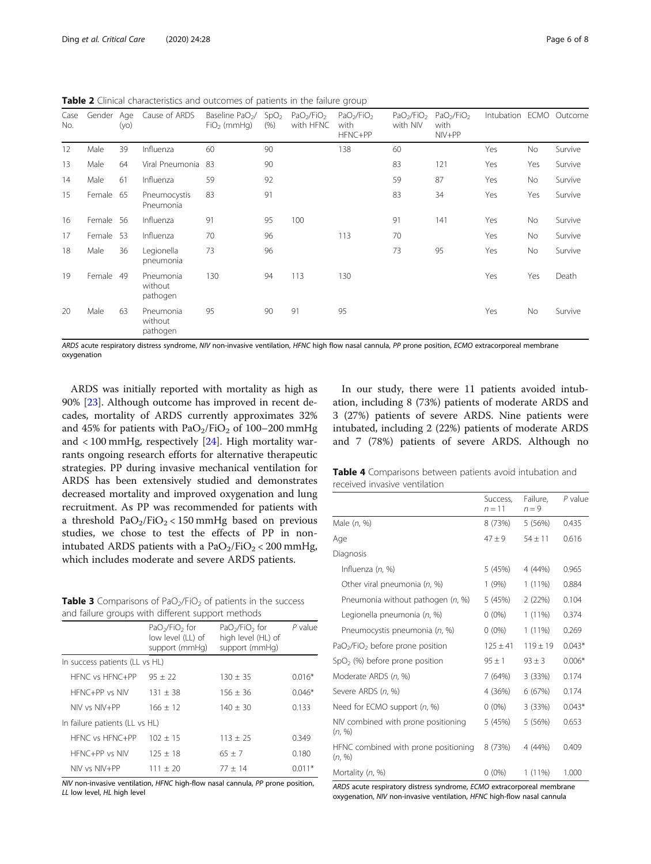<span id="page-5-0"></span>Table 2 Clinical characteristics and outcomes of patients in the failure group

| Case<br>No. | Gender Age | (yo) | Cause of ARDS                    | Baseline PaO <sub>2</sub> /<br>$FiO2$ (mmHq) | SpO <sub>2</sub><br>(% ) | PaO <sub>2</sub> /FiO <sub>2</sub><br>with HFNC | PaO <sub>2</sub> /FiO <sub>2</sub><br>with<br>HFNC+PP | PaO <sub>2</sub> /FiO <sub>2</sub><br>with NIV | PaO <sub>2</sub> /FiO <sub>2</sub><br>with<br>NIV+PP | Intubation ECMO Outcome |           |         |
|-------------|------------|------|----------------------------------|----------------------------------------------|--------------------------|-------------------------------------------------|-------------------------------------------------------|------------------------------------------------|------------------------------------------------------|-------------------------|-----------|---------|
| 12          | Male       | 39   | Influenza                        | 60                                           | 90                       |                                                 | 138                                                   | 60                                             |                                                      | Yes                     | No        | Survive |
| 13          | Male       | 64   | Viral Pneumonia                  | 83                                           | 90                       |                                                 |                                                       | 83                                             | 121                                                  | Yes                     | Yes       | Survive |
| 14          | Male       | 61   | Influenza                        | 59                                           | 92                       |                                                 |                                                       | 59                                             | 87                                                   | Yes                     | No        | Survive |
| 15          | Female 65  |      | Pneumocystis<br>Pneumonia        | 83                                           | 91                       |                                                 |                                                       | 83                                             | 34                                                   | Yes                     | Yes       | Survive |
| 16          | Female 56  |      | Influenza                        | 91                                           | 95                       | 100                                             |                                                       | 91                                             | 141                                                  | Yes                     | No        | Survive |
| 17          | Female 53  |      | Influenza                        | 70                                           | 96                       |                                                 | 113                                                   | 70                                             |                                                      | Yes                     | No        | Survive |
| 18          | Male       | 36   | Legionella<br>pneumonia          | 73                                           | 96                       |                                                 |                                                       | 73                                             | 95                                                   | Yes                     | <b>No</b> | Survive |
| 19          | Female     | -49  | Pneumonia<br>without<br>pathogen | 130                                          | 94                       | 113                                             | 130                                                   |                                                |                                                      | Yes                     | Yes       | Death   |
| 20          | Male       | 63   | Pneumonia<br>without<br>pathogen | 95                                           | 90                       | 91                                              | 95                                                    |                                                |                                                      | Yes                     | <b>No</b> | Survive |

ARDS acute respiratory distress syndrome, NIV non-invasive ventilation, HFNC high flow nasal cannula, PP prone position, ECMO extracorporeal membrane oxygenation

ARDS was initially reported with mortality as high as 90% [[23\]](#page-7-0). Although outcome has improved in recent decades, mortality of ARDS currently approximates 32% and 45% for patients with  $PaO<sub>2</sub>/FiO<sub>2</sub>$  of 100–200 mmHg and < 100 mmHg, respectively [\[24](#page-7-0)]. High mortality warrants ongoing research efforts for alternative therapeutic strategies. PP during invasive mechanical ventilation for ARDS has been extensively studied and demonstrates decreased mortality and improved oxygenation and lung recruitment. As PP was recommended for patients with a threshold  $PaO<sub>2</sub>/FiO<sub>2</sub> < 150$  mmHg based on previous studies, we chose to test the effects of PP in nonintubated ARDS patients with a  $PaO<sub>2</sub>/FiO<sub>2</sub> < 200$  mmHg, which includes moderate and severe ARDS patients.

**Table 3** Comparisons of PaO<sub>2</sub>/FiO<sub>2</sub> of patients in the success and failure groups with different support methods

|                                | $PaO2/FiO2$ for<br>low level (LL) of<br>support (mmHq) | $PaO2/FiO2$ for<br>high level (HL) of<br>support (mmHq) | $P$ value |
|--------------------------------|--------------------------------------------------------|---------------------------------------------------------|-----------|
| In success patients (LL vs HL) |                                                        |                                                         |           |
| HENC vs HENC+PP                | $95 + 22$                                              | $130 + 35$                                              | $0.016*$  |
| $HFNC+PP$ vs NIV               | $131 + 38$                                             | $156 + 36$                                              | $0.046*$  |
| $NIV$ vs $NIV+PP$              | $166 + 12$                                             | $140 + 30$                                              | 0.133     |
| In failure patients (LL vs HL) |                                                        |                                                         |           |
| HFNC vs HFNC+PP                | $102 + 15$                                             | $113 + 25$                                              | 0.349     |
| HFNC+PP vs NIV                 | $125 + 18$                                             | $65 + 7$                                                | 0.180     |
| $NIV$ vs $NIV+PP$              | $111 + 20$                                             | $77 + 14$                                               | $0.011*$  |

NIV non-invasive ventilation, HFNC high-flow nasal cannula, PP prone position, LL low level, HL high level

In our study, there were 11 patients avoided intubation, including 8 (73%) patients of moderate ARDS and 3 (27%) patients of severe ARDS. Nine patients were intubated, including 2 (22%) patients of moderate ARDS and 7 (78%) patients of severe ARDS. Although no

| Table 4 Comparisons between patients avoid intubation and |  |  |  |
|-----------------------------------------------------------|--|--|--|
| received invasive ventilation                             |  |  |  |

|                                                          | Success.<br>$n = 11$ | Failure.<br>$n = 9$ | P value  |
|----------------------------------------------------------|----------------------|---------------------|----------|
| Male (n. %)                                              | 8 (73%)              | 5 (56%)             | 0.435    |
| Age                                                      | $47 + 9$             | $54 + 11$           | 0.616    |
| Diagnosis                                                |                      |                     |          |
| Influenza (n, %)                                         | 5 (45%)              | 4 (44%)             | 0.965    |
| Other viral pneumonia (n, %)                             | 1(9%)                | $1(11\%)$           | 0.884    |
| Pneumonia without pathogen (n, %)                        | 5 (45%)              | 2(22%)              | 0.104    |
| Legionella pneumonia (n, %)                              | $0(0\%)$             | $1(11\%)$           | 0.374    |
| Pneumocystis pneumonia (n, %)                            | $0(0\%)$             | $1(11\%)$           | 0.269    |
| PaO <sub>2</sub> /FiO <sub>2</sub> before prone position | $125 \pm 41$         | $119 + 19$          | $0.043*$ |
| $SpO2$ (%) before prone position                         | $95 \pm 1$           | $93 \pm 3$          | $0.006*$ |
| Moderate ARDS (n, %)                                     | 7 (64%)              | 3(33%)              | 0.174    |
| Severe ARDS (n, %)                                       | 4 (36%)              | 6 (67%)             | 0.174    |
| Need for ECMO support (n, %)                             | $0(0\%)$             | 3(33%)              | $0.043*$ |
| NIV combined with prone positioning<br>(n, %)            | 5(45%)               | 5 (56%)             | 0.653    |
| HFNC combined with prone positioning<br>(n, %)           | 8 (73%)              | 4 (44%)             | 0.409    |
| Mortality (n, %)                                         | $0(0\%)$             | $1(11\%)$           | 1.000    |

ARDS acute respiratory distress syndrome, ECMO extracorporeal membrane oxygenation, NIV non-invasive ventilation, HFNC high-flow nasal cannula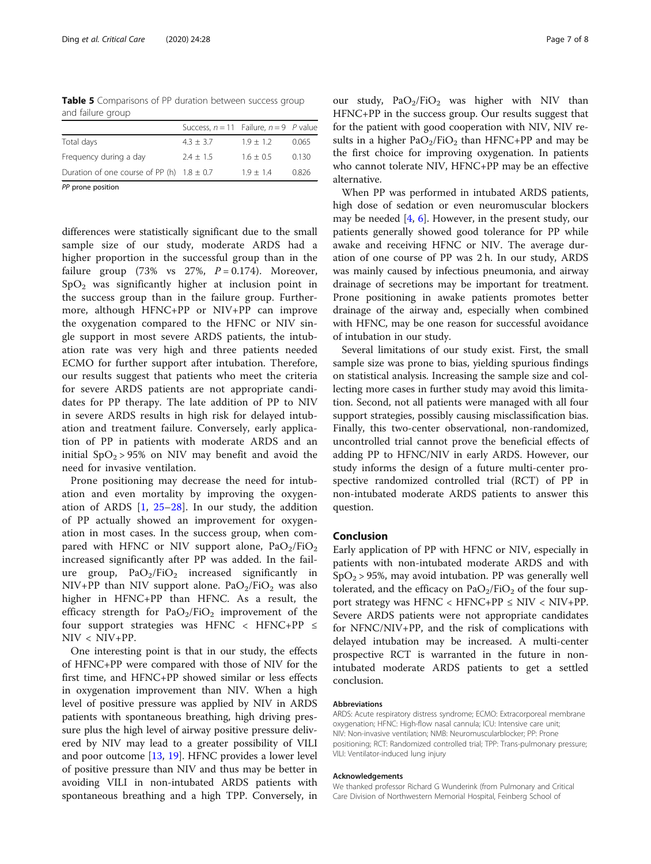<span id="page-6-0"></span>Table 5 Comparisons of PP duration between success group and failure group

|                                                | Success, $n = 11$ Failure, $n = 9$ P value |             |       |
|------------------------------------------------|--------------------------------------------|-------------|-------|
| Total days                                     | $4.3 + 3.7$                                | $1.9 + 1.2$ | 0.065 |
| Frequency during a day                         | $2.4 + 1.5$                                | $1.6 + 0.5$ | 0.130 |
| Duration of one course of PP (h) $1.8 \pm 0.7$ |                                            | $1.9 + 1.4$ | 0.826 |
|                                                |                                            |             |       |

PP prone position

differences were statistically significant due to the small sample size of our study, moderate ARDS had a higher proportion in the successful group than in the failure group (73% vs  $27\%$ ,  $P = 0.174$ ). Moreover,  $SpO<sub>2</sub>$  was significantly higher at inclusion point in the success group than in the failure group. Furthermore, although HFNC+PP or NIV+PP can improve the oxygenation compared to the HFNC or NIV single support in most severe ARDS patients, the intubation rate was very high and three patients needed ECMO for further support after intubation. Therefore, our results suggest that patients who meet the criteria for severe ARDS patients are not appropriate candidates for PP therapy. The late addition of PP to NIV in severe ARDS results in high risk for delayed intubation and treatment failure. Conversely, early application of PP in patients with moderate ARDS and an initial  $SpO<sub>2</sub> > 95%$  on NIV may benefit and avoid the need for invasive ventilation.

Prone positioning may decrease the need for intubation and even mortality by improving the oxygenation of ARDS [[1,](#page-7-0) [25](#page-7-0)–[28\]](#page-7-0). In our study, the addition of PP actually showed an improvement for oxygenation in most cases. In the success group, when compared with HFNC or NIV support alone,  $PaO<sub>2</sub>/FiO<sub>2</sub>$ increased significantly after PP was added. In the failure group,  $PaO<sub>2</sub>/FiO<sub>2</sub>$  increased significantly in NIV+PP than NIV support alone.  $PaO<sub>2</sub>/FiO<sub>2</sub>$  was also higher in HFNC+PP than HFNC. As a result, the efficacy strength for  $PaO<sub>2</sub>/FiO<sub>2</sub>$  improvement of the four support strategies was HFNC < HFNC+PP ≤ NIV < NIV+PP.

One interesting point is that in our study, the effects of HFNC+PP were compared with those of NIV for the first time, and HFNC+PP showed similar or less effects in oxygenation improvement than NIV. When a high level of positive pressure was applied by NIV in ARDS patients with spontaneous breathing, high driving pressure plus the high level of airway positive pressure delivered by NIV may lead to a greater possibility of VILI and poor outcome [[13,](#page-7-0) [19\]](#page-7-0). HFNC provides a lower level of positive pressure than NIV and thus may be better in avoiding VILI in non-intubated ARDS patients with spontaneous breathing and a high TPP. Conversely, in

our study,  $PaO<sub>2</sub>/FiO<sub>2</sub>$  was higher with NIV than HFNC+PP in the success group. Our results suggest that for the patient with good cooperation with NIV, NIV results in a higher  $PaO<sub>2</sub>/FiO<sub>2</sub>$  than HFNC+PP and may be the first choice for improving oxygenation. In patients who cannot tolerate NIV, HFNC+PP may be an effective alternative.

When PP was performed in intubated ARDS patients, high dose of sedation or even neuromuscular blockers may be needed [\[4](#page-7-0), [6](#page-7-0)]. However, in the present study, our patients generally showed good tolerance for PP while awake and receiving HFNC or NIV. The average duration of one course of PP was 2 h. In our study, ARDS was mainly caused by infectious pneumonia, and airway drainage of secretions may be important for treatment. Prone positioning in awake patients promotes better drainage of the airway and, especially when combined with HFNC, may be one reason for successful avoidance of intubation in our study.

Several limitations of our study exist. First, the small sample size was prone to bias, yielding spurious findings on statistical analysis. Increasing the sample size and collecting more cases in further study may avoid this limitation. Second, not all patients were managed with all four support strategies, possibly causing misclassification bias. Finally, this two-center observational, non-randomized, uncontrolled trial cannot prove the beneficial effects of adding PP to HFNC/NIV in early ARDS. However, our study informs the design of a future multi-center prospective randomized controlled trial (RCT) of PP in non-intubated moderate ARDS patients to answer this question.

# Conclusion

Early application of PP with HFNC or NIV, especially in patients with non-intubated moderate ARDS and with  $SpO<sub>2</sub>$  > 95%, may avoid intubation. PP was generally well tolerated, and the efficacy on  $PaO<sub>2</sub>/FiO<sub>2</sub>$  of the four support strategy was HFNC < HFNC+PP  $\leq$  NIV < NIV+PP. Severe ARDS patients were not appropriate candidates for NFNC/NIV+PP, and the risk of complications with delayed intubation may be increased. A multi-center prospective RCT is warranted in the future in nonintubated moderate ARDS patients to get a settled conclusion.

### Abbreviations

ARDS: Acute respiratory distress syndrome; ECMO: Extracorporeal membrane oxygenation; HFNC: High-flow nasal cannula; ICU: Intensive care unit; NIV: Non-invasive ventilation; NMB: Neuromuscularblocker; PP: Prone positioning; RCT: Randomized controlled trial; TPP: Trans-pulmonary pressure; VILI: Ventilator-induced lung injury

#### Acknowledgements

We thanked professor Richard G Wunderink (from Pulmonary and Critical Care Division of Northwestern Memorial Hospital, Feinberg School of